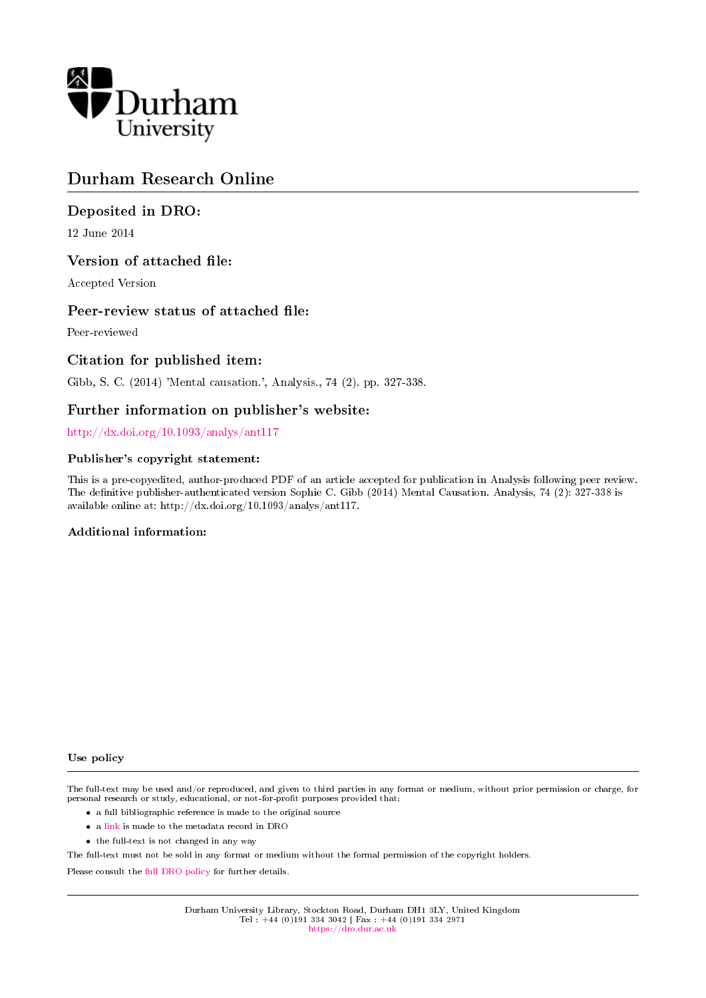

# Durham Research Online

# Deposited in DRO:

12 June 2014

# Version of attached file:

Accepted Version

## Peer-review status of attached file:

Peer-reviewed

## Citation for published item:

Gibb, S. C. (2014) 'Mental causation.', Analysis., 74 (2). pp. 327-338.

### Further information on publisher's website:

<http://dx.doi.org/10.1093/analys/ant117>

#### Publisher's copyright statement:

This is a pre-copyedited, author-produced PDF of an article accepted for publication in Analysis following peer review. The definitive publisher-authenticated version Sophie C. Gibb (2014) Mental Causation. Analysis, 74 (2): 327-338 is available online at: http://dx.doi.org/10.1093/analys/ant117.

#### Additional information:

#### Use policy

The full-text may be used and/or reproduced, and given to third parties in any format or medium, without prior permission or charge, for personal research or study, educational, or not-for-profit purposes provided that:

- a full bibliographic reference is made to the original source
- a [link](http://dro.dur.ac.uk/12656/) is made to the metadata record in DRO
- the full-text is not changed in any way

The full-text must not be sold in any format or medium without the formal permission of the copyright holders.

Please consult the [full DRO policy](https://dro.dur.ac.uk/policies/usepolicy.pdf) for further details.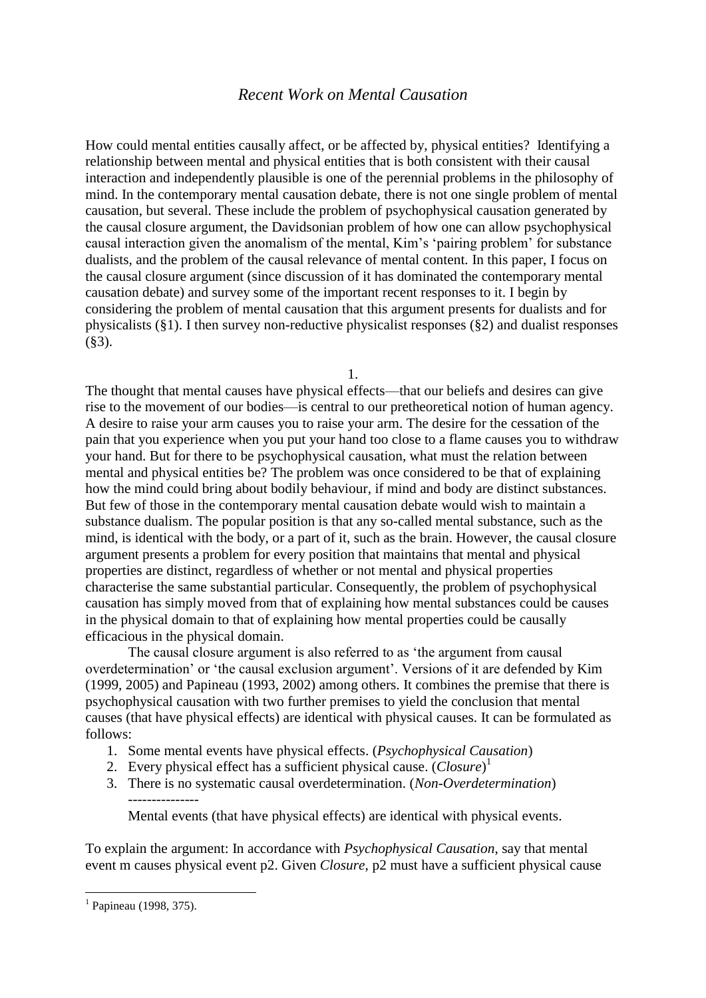# *Recent Work on Mental Causation*

How could mental entities causally affect, or be affected by, physical entities? Identifying a relationship between mental and physical entities that is both consistent with their causal interaction and independently plausible is one of the perennial problems in the philosophy of mind. In the contemporary mental causation debate, there is not one single problem of mental causation, but several. These include the problem of psychophysical causation generated by the causal closure argument, the Davidsonian problem of how one can allow psychophysical causal interaction given the anomalism of the mental, Kim's 'pairing problem' for substance dualists, and the problem of the causal relevance of mental content. In this paper, I focus on the causal closure argument (since discussion of it has dominated the contemporary mental causation debate) and survey some of the important recent responses to it. I begin by considering the problem of mental causation that this argument presents for dualists and for physicalists (§1). I then survey non-reductive physicalist responses (§2) and dualist responses  $(\$3)$ .

1.

The thought that mental causes have physical effects—that our beliefs and desires can give rise to the movement of our bodies—is central to our pretheoretical notion of human agency. A desire to raise your arm causes you to raise your arm. The desire for the cessation of the pain that you experience when you put your hand too close to a flame causes you to withdraw your hand. But for there to be psychophysical causation, what must the relation between mental and physical entities be? The problem was once considered to be that of explaining how the mind could bring about bodily behaviour, if mind and body are distinct substances. But few of those in the contemporary mental causation debate would wish to maintain a substance dualism. The popular position is that any so-called mental substance, such as the mind, is identical with the body, or a part of it, such as the brain. However, the causal closure argument presents a problem for every position that maintains that mental and physical properties are distinct, regardless of whether or not mental and physical properties characterise the same substantial particular. Consequently, the problem of psychophysical causation has simply moved from that of explaining how mental substances could be causes in the physical domain to that of explaining how mental properties could be causally efficacious in the physical domain.

The causal closure argument is also referred to as 'the argument from causal overdetermination' or 'the causal exclusion argument'. Versions of it are defended by Kim (1999, 2005) and Papineau (1993, 2002) among others. It combines the premise that there is psychophysical causation with two further premises to yield the conclusion that mental causes (that have physical effects) are identical with physical causes. It can be formulated as follows:

- 1. Some mental events have physical effects. (*Psychophysical Causation*)
- 2. Every physical effect has a sufficient physical cause. (*Closure*) 1
- 3. There is no systematic causal overdetermination. (*Non-Overdetermination*) ---------------

Mental events (that have physical effects) are identical with physical events.

To explain the argument: In accordance with *Psychophysical Causation*, say that mental event m causes physical event p2. Given *Closure*, p2 must have a sufficient physical cause

**.** 

 $<sup>1</sup>$  Papineau (1998, 375).</sup>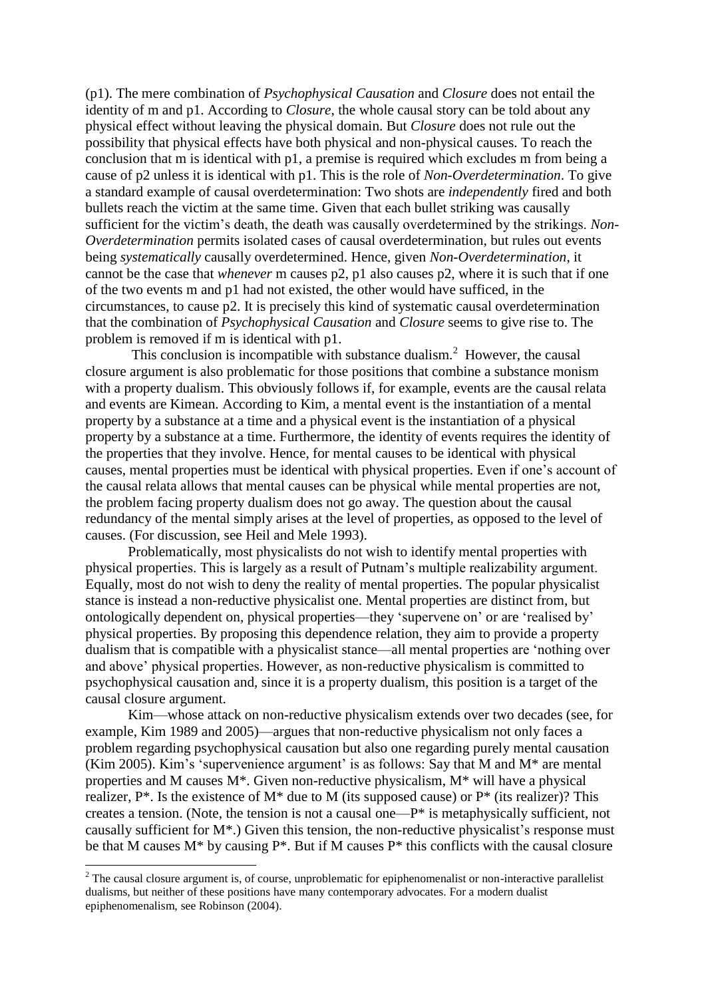(p1). The mere combination of *Psychophysical Causation* and *Closure* does not entail the identity of m and p1. According to *Closure*, the whole causal story can be told about any physical effect without leaving the physical domain. But *Closure* does not rule out the possibility that physical effects have both physical and non-physical causes. To reach the conclusion that m is identical with p1, a premise is required which excludes m from being a cause of p2 unless it is identical with p1. This is the role of *Non-Overdetermination*. To give a standard example of causal overdetermination: Two shots are *independently* fired and both bullets reach the victim at the same time. Given that each bullet striking was causally sufficient for the victim's death, the death was causally overdetermined by the strikings. *Non-Overdetermination* permits isolated cases of causal overdetermination, but rules out events being *systematically* causally overdetermined. Hence, given *Non-Overdetermination*, it cannot be the case that *whenever* m causes p2, p1 also causes p2, where it is such that if one of the two events m and p1 had not existed, the other would have sufficed, in the circumstances, to cause p2. It is precisely this kind of systematic causal overdetermination that the combination of *Psychophysical Causation* and *Closure* seems to give rise to. The problem is removed if m is identical with p1.

This conclusion is incompatible with substance dualism.<sup>2</sup> However, the causal closure argument is also problematic for those positions that combine a substance monism with a property dualism. This obviously follows if, for example, events are the causal relata and events are Kimean. According to Kim, a mental event is the instantiation of a mental property by a substance at a time and a physical event is the instantiation of a physical property by a substance at a time. Furthermore, the identity of events requires the identity of the properties that they involve. Hence, for mental causes to be identical with physical causes, mental properties must be identical with physical properties. Even if one's account of the causal relata allows that mental causes can be physical while mental properties are not, the problem facing property dualism does not go away. The question about the causal redundancy of the mental simply arises at the level of properties, as opposed to the level of causes. (For discussion, see Heil and Mele 1993).

Problematically, most physicalists do not wish to identify mental properties with physical properties. This is largely as a result of Putnam's multiple realizability argument. Equally, most do not wish to deny the reality of mental properties. The popular physicalist stance is instead a non-reductive physicalist one. Mental properties are distinct from, but ontologically dependent on, physical properties—they 'supervene on' or are 'realised by' physical properties. By proposing this dependence relation, they aim to provide a property dualism that is compatible with a physicalist stance—all mental properties are 'nothing over and above' physical properties. However, as non-reductive physicalism is committed to psychophysical causation and, since it is a property dualism, this position is a target of the causal closure argument.

Kim—whose attack on non-reductive physicalism extends over two decades (see, for example, Kim 1989 and 2005)—argues that non-reductive physicalism not only faces a problem regarding psychophysical causation but also one regarding purely mental causation (Kim 2005). Kim's 'supervenience argument' is as follows: Say that M and M\* are mental properties and M causes M\*. Given non-reductive physicalism, M\* will have a physical realizer,  $P^*$ . Is the existence of  $M^*$  due to M (its supposed cause) or  $P^*$  (its realizer)? This creates a tension. (Note, the tension is not a causal one—P\* is metaphysically sufficient, not causally sufficient for M\*.) Given this tension, the non-reductive physicalist's response must be that M causes  $M^*$  by causing  $P^*$ . But if M causes  $P^*$  this conflicts with the causal closure

1

 $2^2$  The causal closure argument is, of course, unproblematic for epiphenomenalist or non-interactive parallelist dualisms, but neither of these positions have many contemporary advocates. For a modern dualist epiphenomenalism, see Robinson (2004).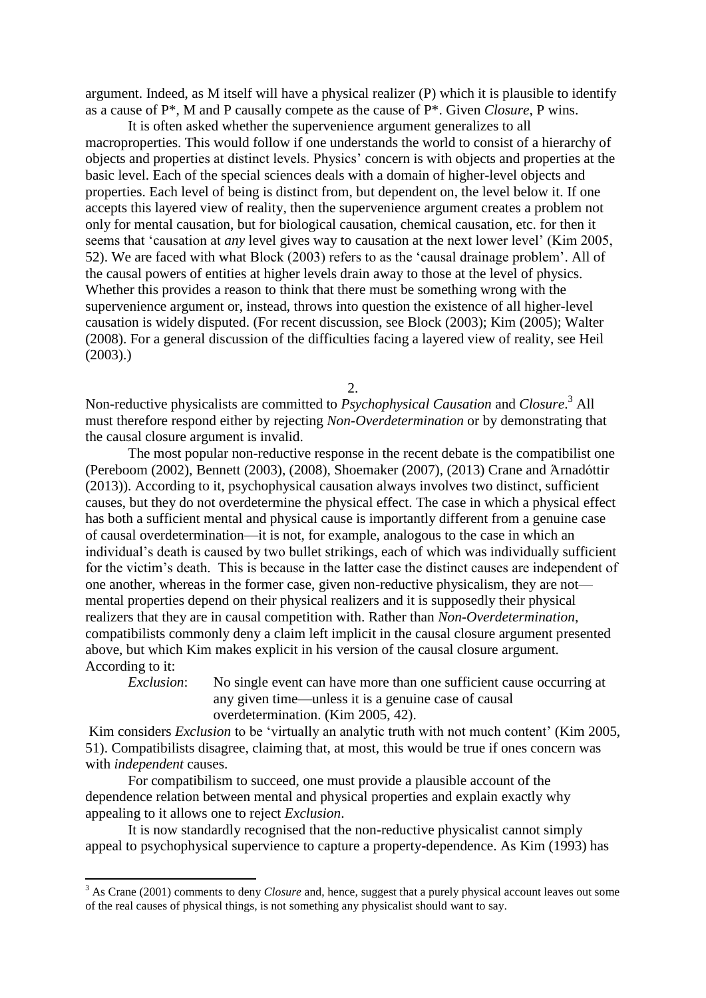argument. Indeed, as M itself will have a physical realizer (P) which it is plausible to identify as a cause of P\*, M and P causally compete as the cause of P\*. Given *Closure*, P wins.

It is often asked whether the supervenience argument generalizes to all macroproperties. This would follow if one understands the world to consist of a hierarchy of objects and properties at distinct levels. Physics' concern is with objects and properties at the basic level. Each of the special sciences deals with a domain of higher-level objects and properties. Each level of being is distinct from, but dependent on, the level below it. If one accepts this layered view of reality, then the supervenience argument creates a problem not only for mental causation, but for biological causation, chemical causation, etc. for then it seems that 'causation at *any* level gives way to causation at the next lower level' (Kim 2005, 52). We are faced with what Block (2003) refers to as the 'causal drainage problem'. All of the causal powers of entities at higher levels drain away to those at the level of physics. Whether this provides a reason to think that there must be something wrong with the supervenience argument or, instead, throws into question the existence of all higher-level causation is widely disputed. (For recent discussion, see Block (2003); Kim (2005); Walter (2008). For a general discussion of the difficulties facing a layered view of reality, see Heil (2003).)

2.

Non-reductive physicalists are committed to *Psychophysical Causation* and *Closure*. <sup>3</sup> All must therefore respond either by rejecting *Non-Overdetermination* or by demonstrating that the causal closure argument is invalid.

The most popular non-reductive response in the recent debate is the compatibilist one (Pereboom (2002), Bennett (2003), (2008), Shoemaker (2007), (2013) Crane and Άrnadόttir (2013)). According to it, psychophysical causation always involves two distinct, sufficient causes, but they do not overdetermine the physical effect. The case in which a physical effect has both a sufficient mental and physical cause is importantly different from a genuine case of causal overdetermination—it is not, for example, analogous to the case in which an individual's death is caused by two bullet strikings, each of which was individually sufficient for the victim's death. This is because in the latter case the distinct causes are independent of one another, whereas in the former case, given non-reductive physicalism, they are not mental properties depend on their physical realizers and it is supposedly their physical realizers that they are in causal competition with. Rather than *Non-Overdetermination*, compatibilists commonly deny a claim left implicit in the causal closure argument presented above, but which Kim makes explicit in his version of the causal closure argument. According to it:

*Exclusion*: No single event can have more than one sufficient cause occurring at any given time—unless it is a genuine case of causal overdetermination. (Kim 2005, 42).

Kim considers *Exclusion* to be 'virtually an analytic truth with not much content' (Kim 2005, 51). Compatibilists disagree, claiming that, at most, this would be true if ones concern was with *independent* causes.

For compatibilism to succeed, one must provide a plausible account of the dependence relation between mental and physical properties and explain exactly why appealing to it allows one to reject *Exclusion*.

**.** 

It is now standardly recognised that the non-reductive physicalist cannot simply appeal to psychophysical supervience to capture a property-dependence. As Kim (1993) has

<sup>&</sup>lt;sup>3</sup> As Crane (2001) comments to deny *Closure* and, hence, suggest that a purely physical account leaves out some of the real causes of physical things, is not something any physicalist should want to say.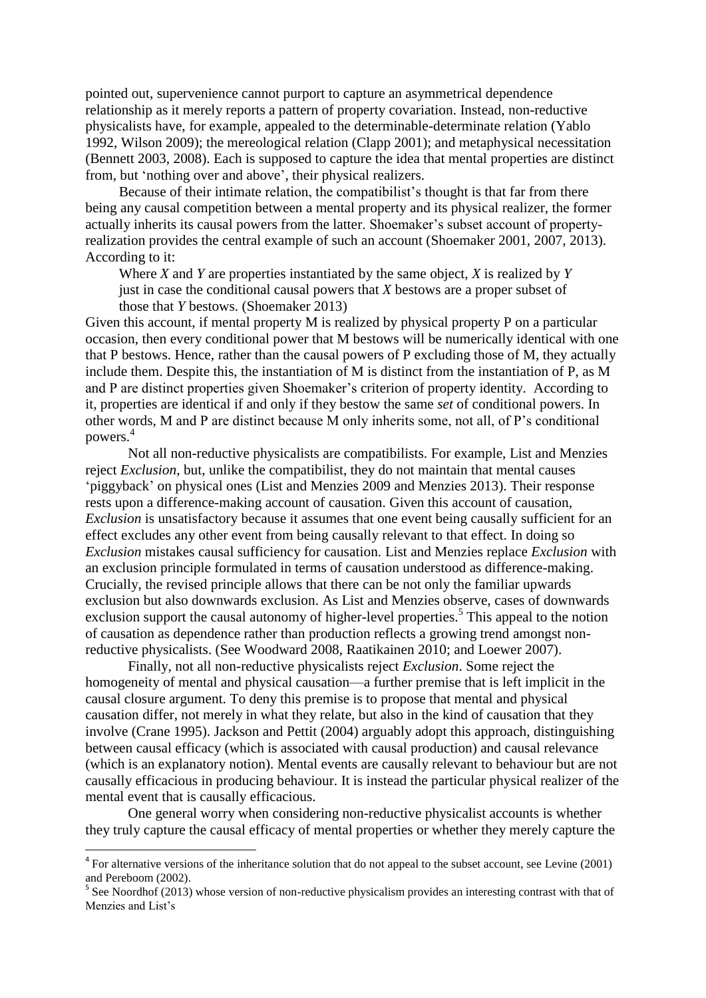pointed out, supervenience cannot purport to capture an asymmetrical dependence relationship as it merely reports a pattern of property covariation. Instead, non-reductive physicalists have, for example, appealed to the determinable-determinate relation (Yablo 1992, Wilson 2009); the mereological relation (Clapp 2001); and metaphysical necessitation (Bennett 2003, 2008). Each is supposed to capture the idea that mental properties are distinct from, but 'nothing over and above', their physical realizers.

Because of their intimate relation, the compatibilist's thought is that far from there being any causal competition between a mental property and its physical realizer, the former actually inherits its causal powers from the latter. Shoemaker's subset account of propertyrealization provides the central example of such an account (Shoemaker 2001, 2007, 2013). According to it:

Where *X* and *Y* are properties instantiated by the same object, *X* is realized by *Y* just in case the conditional causal powers that *X* bestows are a proper subset of those that *Y* bestows. (Shoemaker 2013)

Given this account, if mental property M is realized by physical property P on a particular occasion, then every conditional power that M bestows will be numerically identical with one that P bestows. Hence, rather than the causal powers of P excluding those of M, they actually include them. Despite this, the instantiation of M is distinct from the instantiation of P, as M and P are distinct properties given Shoemaker's criterion of property identity. According to it, properties are identical if and only if they bestow the same *set* of conditional powers. In other words, M and P are distinct because M only inherits some, not all, of P's conditional powers. 4

Not all non-reductive physicalists are compatibilists. For example, List and Menzies reject *Exclusion*, but, unlike the compatibilist, they do not maintain that mental causes 'piggyback' on physical ones (List and Menzies 2009 and Menzies 2013). Their response rests upon a difference-making account of causation. Given this account of causation, *Exclusion* is unsatisfactory because it assumes that one event being causally sufficient for an effect excludes any other event from being causally relevant to that effect. In doing so *Exclusion* mistakes causal sufficiency for causation. List and Menzies replace *Exclusion* with an exclusion principle formulated in terms of causation understood as difference-making. Crucially, the revised principle allows that there can be not only the familiar upwards exclusion but also downwards exclusion. As List and Menzies observe, cases of downwards exclusion support the causal autonomy of higher-level properties.<sup>5</sup> This appeal to the notion of causation as dependence rather than production reflects a growing trend amongst nonreductive physicalists. (See Woodward 2008, Raatikainen 2010; and Loewer 2007).

Finally, not all non-reductive physicalists reject *Exclusion*. Some reject the homogeneity of mental and physical causation—a further premise that is left implicit in the causal closure argument. To deny this premise is to propose that mental and physical causation differ, not merely in what they relate, but also in the kind of causation that they involve (Crane 1995). Jackson and Pettit (2004) arguably adopt this approach, distinguishing between causal efficacy (which is associated with causal production) and causal relevance (which is an explanatory notion). Mental events are causally relevant to behaviour but are not causally efficacious in producing behaviour. It is instead the particular physical realizer of the mental event that is causally efficacious.

One general worry when considering non-reductive physicalist accounts is whether they truly capture the causal efficacy of mental properties or whether they merely capture the

**.** 

 $4$  For alternative versions of the inheritance solution that do not appeal to the subset account, see Levine (2001) and Pereboom (2002).

<sup>&</sup>lt;sup>5</sup> See Noordhof (2013) whose version of non-reductive physicalism provides an interesting contrast with that of Menzies and List's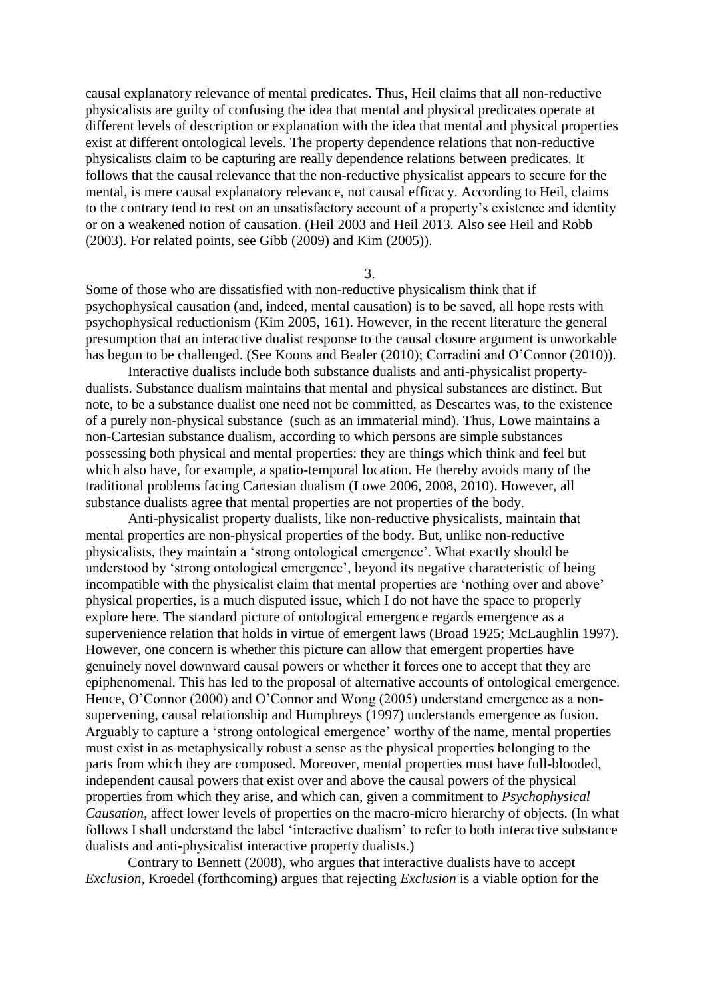causal explanatory relevance of mental predicates. Thus, Heil claims that all non-reductive physicalists are guilty of confusing the idea that mental and physical predicates operate at different levels of description or explanation with the idea that mental and physical properties exist at different ontological levels. The property dependence relations that non-reductive physicalists claim to be capturing are really dependence relations between predicates. It follows that the causal relevance that the non-reductive physicalist appears to secure for the mental, is mere causal explanatory relevance, not causal efficacy. According to Heil, claims to the contrary tend to rest on an unsatisfactory account of a property's existence and identity or on a weakened notion of causation. (Heil 2003 and Heil 2013. Also see Heil and Robb (2003). For related points, see Gibb (2009) and Kim (2005)).

3.

Some of those who are dissatisfied with non-reductive physicalism think that if psychophysical causation (and, indeed, mental causation) is to be saved, all hope rests with psychophysical reductionism (Kim 2005, 161). However, in the recent literature the general presumption that an interactive dualist response to the causal closure argument is unworkable has begun to be challenged. (See Koons and Bealer (2010); Corradini and O'Connor (2010)).

Interactive dualists include both substance dualists and anti-physicalist propertydualists. Substance dualism maintains that mental and physical substances are distinct. But note, to be a substance dualist one need not be committed, as Descartes was, to the existence of a purely non-physical substance (such as an immaterial mind). Thus, Lowe maintains a non-Cartesian substance dualism, according to which persons are simple substances possessing both physical and mental properties: they are things which think and feel but which also have, for example, a spatio-temporal location. He thereby avoids many of the traditional problems facing Cartesian dualism (Lowe 2006, 2008, 2010). However, all substance dualists agree that mental properties are not properties of the body.

Anti-physicalist property dualists, like non-reductive physicalists, maintain that mental properties are non-physical properties of the body. But, unlike non-reductive physicalists, they maintain a 'strong ontological emergence'. What exactly should be understood by 'strong ontological emergence', beyond its negative characteristic of being incompatible with the physicalist claim that mental properties are 'nothing over and above' physical properties, is a much disputed issue, which I do not have the space to properly explore here. The standard picture of ontological emergence regards emergence as a supervenience relation that holds in virtue of emergent laws (Broad 1925; McLaughlin 1997). However, one concern is whether this picture can allow that emergent properties have genuinely novel downward causal powers or whether it forces one to accept that they are epiphenomenal. This has led to the proposal of alternative accounts of ontological emergence. Hence, O'Connor (2000) and O'Connor and Wong (2005) understand emergence as a nonsupervening, causal relationship and Humphreys (1997) understands emergence as fusion. Arguably to capture a 'strong ontological emergence' worthy of the name, mental properties must exist in as metaphysically robust a sense as the physical properties belonging to the parts from which they are composed. Moreover, mental properties must have full-blooded, independent causal powers that exist over and above the causal powers of the physical properties from which they arise, and which can, given a commitment to *Psychophysical Causation*, affect lower levels of properties on the macro-micro hierarchy of objects. (In what follows I shall understand the label 'interactive dualism' to refer to both interactive substance dualists and anti-physicalist interactive property dualists.)

Contrary to Bennett (2008), who argues that interactive dualists have to accept *Exclusion*, Kroedel (forthcoming) argues that rejecting *Exclusion* is a viable option for the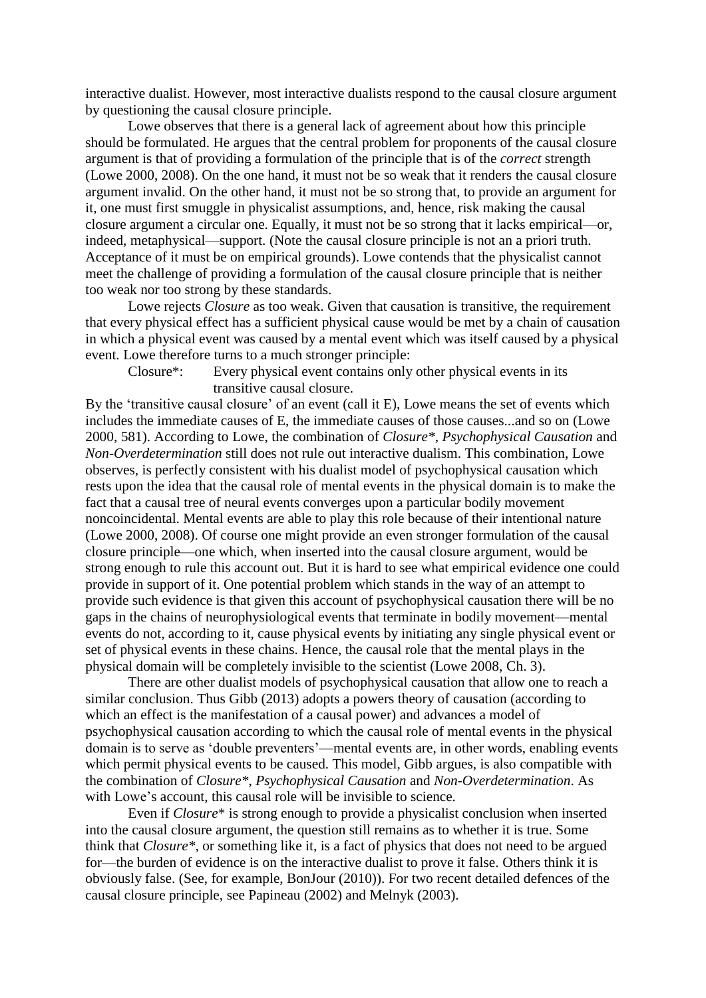interactive dualist. However, most interactive dualists respond to the causal closure argument by questioning the causal closure principle.

Lowe observes that there is a general lack of agreement about how this principle should be formulated. He argues that the central problem for proponents of the causal closure argument is that of providing a formulation of the principle that is of the *correct* strength (Lowe 2000, 2008). On the one hand, it must not be so weak that it renders the causal closure argument invalid. On the other hand, it must not be so strong that, to provide an argument for it, one must first smuggle in physicalist assumptions, and, hence, risk making the causal closure argument a circular one. Equally, it must not be so strong that it lacks empirical—or, indeed, metaphysical—support. (Note the causal closure principle is not an a priori truth. Acceptance of it must be on empirical grounds). Lowe contends that the physicalist cannot meet the challenge of providing a formulation of the causal closure principle that is neither too weak nor too strong by these standards.

Lowe rejects *Closure* as too weak. Given that causation is transitive, the requirement that every physical effect has a sufficient physical cause would be met by a chain of causation in which a physical event was caused by a mental event which was itself caused by a physical event. Lowe therefore turns to a much stronger principle:

Closure\*: Every physical event contains only other physical events in its transitive causal closure.

By the 'transitive causal closure' of an event (call it E), Lowe means the set of events which includes the immediate causes of E, the immediate causes of those causes...and so on (Lowe 2000, 581). According to Lowe, the combination of *Closure\**, *Psychophysical Causation* and *Non-Overdetermination* still does not rule out interactive dualism. This combination, Lowe observes, is perfectly consistent with his dualist model of psychophysical causation which rests upon the idea that the causal role of mental events in the physical domain is to make the fact that a causal tree of neural events converges upon a particular bodily movement noncoincidental. Mental events are able to play this role because of their intentional nature (Lowe 2000, 2008). Of course one might provide an even stronger formulation of the causal closure principle—one which, when inserted into the causal closure argument, would be strong enough to rule this account out. But it is hard to see what empirical evidence one could provide in support of it. One potential problem which stands in the way of an attempt to provide such evidence is that given this account of psychophysical causation there will be no gaps in the chains of neurophysiological events that terminate in bodily movement—mental events do not, according to it, cause physical events by initiating any single physical event or set of physical events in these chains. Hence, the causal role that the mental plays in the physical domain will be completely invisible to the scientist (Lowe 2008, Ch. 3).

There are other dualist models of psychophysical causation that allow one to reach a similar conclusion. Thus Gibb (2013) adopts a powers theory of causation (according to which an effect is the manifestation of a causal power) and advances a model of psychophysical causation according to which the causal role of mental events in the physical domain is to serve as 'double preventers'—mental events are, in other words, enabling events which permit physical events to be caused. This model, Gibb argues, is also compatible with the combination of *Closure\**, *Psychophysical Causation* and *Non-Overdetermination*. As with Lowe's account, this causal role will be invisible to science.

Even if *Closure*\* is strong enough to provide a physicalist conclusion when inserted into the causal closure argument, the question still remains as to whether it is true. Some think that *Closure\**, or something like it, is a fact of physics that does not need to be argued for—the burden of evidence is on the interactive dualist to prove it false. Others think it is obviously false. (See, for example, BonJour (2010)). For two recent detailed defences of the causal closure principle, see Papineau (2002) and Melnyk (2003).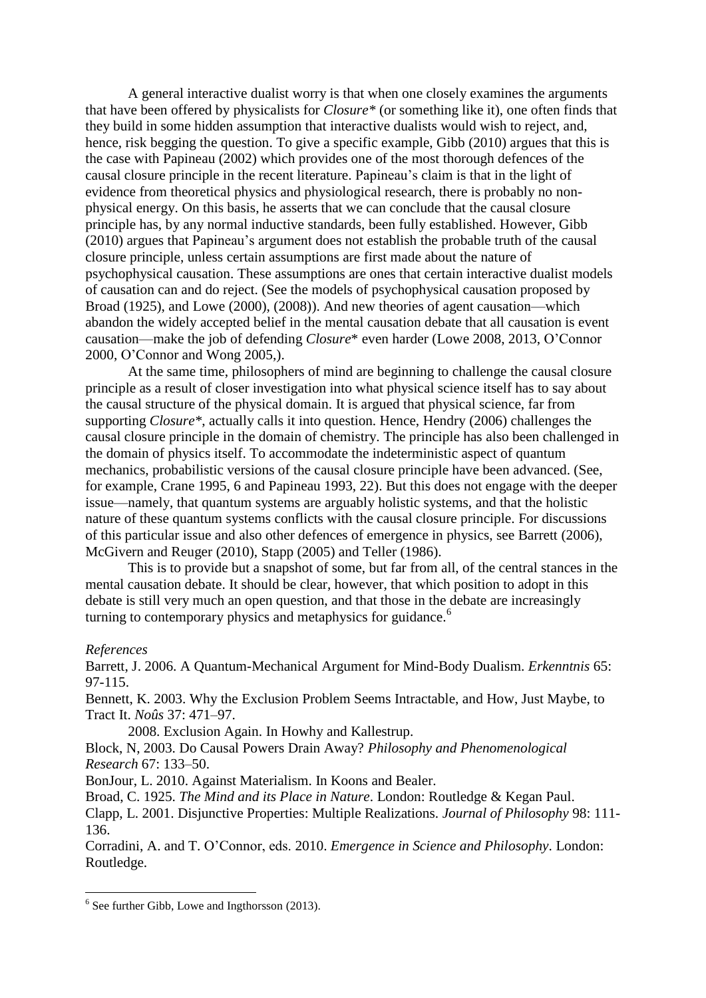A general interactive dualist worry is that when one closely examines the arguments that have been offered by physicalists for *Closure\** (or something like it), one often finds that they build in some hidden assumption that interactive dualists would wish to reject, and, hence, risk begging the question. To give a specific example, Gibb (2010) argues that this is the case with Papineau (2002) which provides one of the most thorough defences of the causal closure principle in the recent literature. Papineau's claim is that in the light of evidence from theoretical physics and physiological research, there is probably no nonphysical energy. On this basis, he asserts that we can conclude that the causal closure principle has, by any normal inductive standards, been fully established. However, Gibb (2010) argues that Papineau's argument does not establish the probable truth of the causal closure principle, unless certain assumptions are first made about the nature of psychophysical causation. These assumptions are ones that certain interactive dualist models of causation can and do reject. (See the models of psychophysical causation proposed by Broad (1925), and Lowe (2000), (2008)). And new theories of agent causation—which abandon the widely accepted belief in the mental causation debate that all causation is event causation—make the job of defending *Closure*\* even harder (Lowe 2008, 2013, O'Connor 2000, O'Connor and Wong 2005,).

At the same time, philosophers of mind are beginning to challenge the causal closure principle as a result of closer investigation into what physical science itself has to say about the causal structure of the physical domain. It is argued that physical science, far from supporting *Closure\**, actually calls it into question. Hence, Hendry (2006) challenges the causal closure principle in the domain of chemistry. The principle has also been challenged in the domain of physics itself. To accommodate the indeterministic aspect of quantum mechanics, probabilistic versions of the causal closure principle have been advanced. (See, for example, Crane 1995, 6 and Papineau 1993, 22). But this does not engage with the deeper issue—namely, that quantum systems are arguably holistic systems, and that the holistic nature of these quantum systems conflicts with the causal closure principle. For discussions of this particular issue and also other defences of emergence in physics, see Barrett (2006), McGivern and Reuger (2010), Stapp (2005) and Teller (1986).

This is to provide but a snapshot of some, but far from all, of the central stances in the mental causation debate. It should be clear, however, that which position to adopt in this debate is still very much an open question, and that those in the debate are increasingly turning to contemporary physics and metaphysics for guidance.<sup>6</sup>

### *References*

Barrett, J. 2006. A Quantum-Mechanical Argument for Mind-Body Dualism. *Erkenntnis* 65: 97-115.

Bennett, K. 2003. Why the Exclusion Problem Seems Intractable, and How, Just Maybe, to Tract It. *Noûs* 37: 471–97.

2008. Exclusion Again. In Howhy and Kallestrup.

Block, N, 2003. Do Causal Powers Drain Away? *Philosophy and Phenomenological Research* 67: 133–50.

BonJour, L. 2010. Against Materialism. In Koons and Bealer.

Broad, C. 1925. *The Mind and its Place in Nature*. London: Routledge & Kegan Paul.

Clapp, L. 2001. Disjunctive Properties: Multiple Realizations. *Journal of Philosophy* 98: 111- 136.

Corradini, A. and T. O'Connor, eds. 2010. *Emergence in Science and Philosophy*. London: Routledge.

**EXECUTE:**<br><sup>6</sup> See further Gibb, Lowe and Ingthorsson (2013).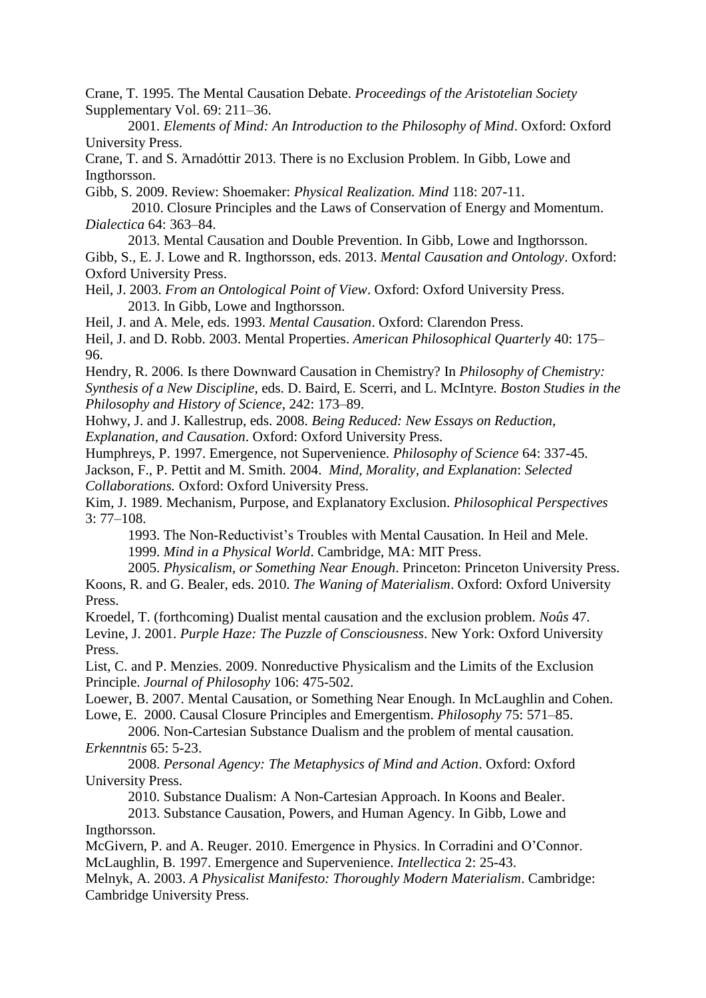Crane, T. 1995. The Mental Causation Debate. *Proceedings of the Aristotelian Society* Supplementary Vol. 69: 211–36.

2001. *Elements of Mind: An Introduction to the Philosophy of Mind*. Oxford: Oxford University Press.

Crane, T. and S. Άrnadόttir 2013. There is no Exclusion Problem. In Gibb, Lowe and Ingthorsson.

Gibb, S. 2009. Review: Shoemaker: *Physical Realization. Mind* 118: 207-11.

2010. Closure Principles and the Laws of Conservation of Energy and Momentum. *Dialectica* 64: 363–84.

2013. Mental Causation and Double Prevention. In Gibb, Lowe and Ingthorsson. Gibb, S., E. J. Lowe and R. Ingthorsson, eds. 2013. *Mental Causation and Ontology*. Oxford: Oxford University Press.

Heil, J. 2003. *From an Ontological Point of View*. Oxford: Oxford University Press. 2013. In Gibb, Lowe and Ingthorsson.

Heil, J. and A. Mele, eds. 1993. *Mental Causation*. Oxford: Clarendon Press.

Heil, J. and D. Robb. 2003. Mental Properties. *American Philosophical Quarterly* 40: 175– 96.

Hendry, R. 2006. Is there Downward Causation in Chemistry? In *Philosophy of Chemistry: Synthesis of a New Discipline*, eds. D. Baird, E. Scerri, and L. McIntyre. *Boston Studies in the Philosophy and History of Science*, 242: 173–89.

Hohwy, J. and J. Kallestrup, eds. 2008. *Being Reduced: New Essays on Reduction, Explanation, and Causation*. Oxford: Oxford University Press.

Humphreys, P. 1997. Emergence, not Supervenience. *Philosophy of Science* 64: 337-45.

Jackson, F., P. Pettit and M. Smith. 2004. *Mind, Morality, and Explanation*: *Selected Collaborations.* Oxford: Oxford University Press.

Kim, J. 1989. Mechanism, Purpose, and Explanatory Exclusion. *Philosophical Perspectives* 3: 77–108.

1993. The Non-Reductivist's Troubles with Mental Causation. In Heil and Mele. 1999. *Mind in a Physical World*. Cambridge, MA: MIT Press.

2005. *Physicalism, or Something Near Enough*. Princeton: Princeton University Press. Koons, R. and G. Bealer, eds. 2010. *The Waning of Materialism*. Oxford: Oxford University Press.

Kroedel, T. (forthcoming) Dualist mental causation and the exclusion problem. *Noûs* 47. Levine, J. 2001. *Purple Haze: The Puzzle of Consciousness*. New York: Oxford University Press.

List, C. and P. Menzies. 2009. Nonreductive Physicalism and the Limits of the Exclusion Principle. *Journal of Philosophy* 106: 475-502.

Loewer, B. 2007. Mental Causation, or Something Near Enough. In McLaughlin and Cohen. Lowe, E. 2000. Causal Closure Principles and Emergentism. *Philosophy* 75: 571–85.

2006. Non-Cartesian Substance Dualism and the problem of mental causation. *Erkenntnis* 65: 5-23.

2008. *Personal Agency: The Metaphysics of Mind and Action*. Oxford: Oxford University Press.

2010. Substance Dualism: A Non-Cartesian Approach. In Koons and Bealer.

2013. Substance Causation, Powers, and Human Agency. In Gibb, Lowe and Ingthorsson.

McGivern, P. and A. Reuger. 2010. Emergence in Physics. In Corradini and O'Connor.

McLaughlin, B. 1997. Emergence and Supervenience. *Intellectica* 2: 25-43.

Melnyk, A. 2003. *A Physicalist Manifesto: Thoroughly Modern Materialism*. Cambridge: Cambridge University Press.